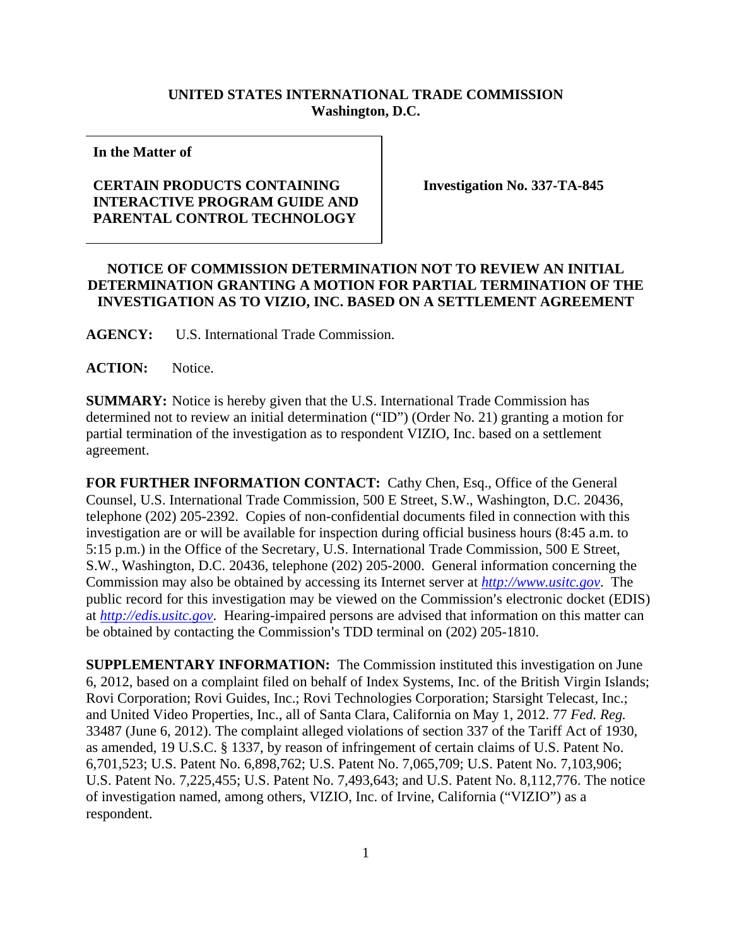## **UNITED STATES INTERNATIONAL TRADE COMMISSION Washington, D.C.**

**In the Matter of** 

## **CERTAIN PRODUCTS CONTAINING INTERACTIVE PROGRAM GUIDE AND PARENTAL CONTROL TECHNOLOGY**

**Investigation No. 337-TA-845** 

## **NOTICE OF COMMISSION DETERMINATION NOT TO REVIEW AN INITIAL DETERMINATION GRANTING A MOTION FOR PARTIAL TERMINATION OF THE INVESTIGATION AS TO VIZIO, INC. BASED ON A SETTLEMENT AGREEMENT**

**AGENCY:** U.S. International Trade Commission.

**ACTION:** Notice.

**SUMMARY:** Notice is hereby given that the U.S. International Trade Commission has determined not to review an initial determination ("ID") (Order No. 21) granting a motion for partial termination of the investigation as to respondent VIZIO, Inc. based on a settlement agreement.

**FOR FURTHER INFORMATION CONTACT:** Cathy Chen, Esq., Office of the General Counsel, U.S. International Trade Commission, 500 E Street, S.W., Washington, D.C. 20436, telephone (202) 205-2392. Copies of non-confidential documents filed in connection with this investigation are or will be available for inspection during official business hours (8:45 a.m. to 5:15 p.m.) in the Office of the Secretary, U.S. International Trade Commission, 500 E Street, S.W., Washington, D.C. 20436, telephone (202) 205-2000. General information concerning the Commission may also be obtained by accessing its Internet server at *http://www.usitc.gov*. The public record for this investigation may be viewed on the Commission's electronic docket (EDIS) at *http://edis.usitc.gov*. Hearing-impaired persons are advised that information on this matter can be obtained by contacting the Commission's TDD terminal on (202) 205-1810.

**SUPPLEMENTARY INFORMATION:** The Commission instituted this investigation on June 6, 2012, based on a complaint filed on behalf of Index Systems, Inc. of the British Virgin Islands; Rovi Corporation; Rovi Guides, Inc.; Rovi Technologies Corporation; Starsight Telecast, Inc.; and United Video Properties, Inc., all of Santa Clara, California on May 1, 2012. 77 *Fed. Reg.* 33487 (June 6, 2012). The complaint alleged violations of section 337 of the Tariff Act of 1930, as amended, 19 U.S.C. § 1337, by reason of infringement of certain claims of U.S. Patent No. 6,701,523; U.S. Patent No. 6,898,762; U.S. Patent No. 7,065,709; U.S. Patent No. 7,103,906; U.S. Patent No. 7,225,455; U.S. Patent No. 7,493,643; and U.S. Patent No. 8,112,776. The notice of investigation named, among others, VIZIO, Inc. of Irvine, California ("VIZIO") as a respondent.